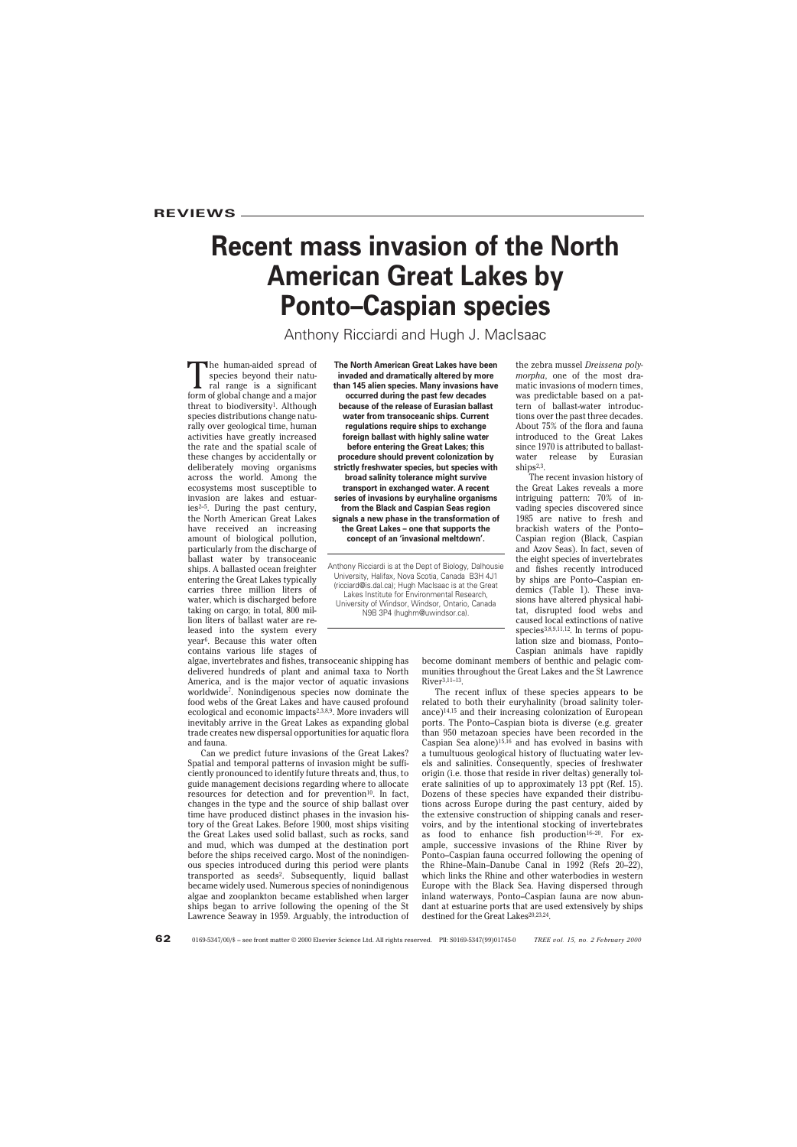# **Recent mass invasion of the North American Great Lakes by Ponto–Caspian species**

Anthony Ricciardi and Hugh J. MacIsaac

The human-aided spread of<br>species beyond their natu-<br>ral range is a significant<br>form of global change and a major species beyond their natural range is a significant form of global change and a major threat to biodiversity<sup>1</sup>. Although species distributions change naturally over geological time, human activities have greatly increased the rate and the spatial scale of these changes by accidentally or deliberately moving organisms across the world. Among the ecosystems most susceptible to invasion are lakes and estuaries2–5. During the past century, the North American Great Lakes have received an increasing amount of biological pollution, particularly from the discharge of ballast water by transoceanic ships. A ballasted ocean freighter entering the Great Lakes typically carries three million liters of water, which is discharged before taking on cargo; in total, 800 million liters of ballast water are released into the system every year6. Because this water often contains various life stages of

algae, invertebrates and fishes, transoceanic shipping has delivered hundreds of plant and animal taxa to North America, and is the major vector of aquatic invasions worldwide7. Nonindigenous species now dominate the food webs of the Great Lakes and have caused profound ecological and economic impacts<sup>2,3,8,9</sup>. More invaders will inevitably arrive in the Great Lakes as expanding global trade creates new dispersal opportunities for aquatic flora and fauna.

Can we predict future invasions of the Great Lakes? Spatial and temporal patterns of invasion might be sufficiently pronounced to identify future threats and, thus, to guide management decisions regarding where to allocate resources for detection and for prevention<sup>10</sup>. In fact, changes in the type and the source of ship ballast over time have produced distinct phases in the invasion history of the Great Lakes. Before 1900, most ships visiting the Great Lakes used solid ballast, such as rocks, sand and mud, which was dumped at the destination port before the ships received cargo. Most of the nonindigenous species introduced during this period were plants transported as seeds<sup>2</sup>. Subsequently, liquid ballast became widely used. Numerous species of nonindigenous algae and zooplankton became established when larger ships began to arrive following the opening of the St Lawrence Seaway in 1959. Arguably, the introduction of

**The North American Great Lakes have been invaded and dramatically altered by more than 145 alien species. Many invasions have occurred during the past few decades because of the release of Eurasian ballast water from transoceanic ships. Current regulations require ships to exchange foreign ballast with highly saline water before entering the Great Lakes; this procedure should prevent colonization by strictly freshwater species, but species with broad salinity tolerance might survive transport in exchanged water. A recent series of invasions by euryhaline organisms from the Black and Caspian Seas region signals a new phase in the transformation of the Great Lakes – one that supports the concept of an 'invasional meltdown'.**

Anthony Ricciardi is at the Dept of Biology, Dalhousie University, Halifax, Nova Scotia, Canada B3H 4J1 (ricciard@is.dal.ca); Hugh MacIsaac is at the Great Lakes Institute for Environmental Research, University of Windsor, Windsor, Ontario, Canada N9B 3P4 (hughm@uwindsor.ca).

the zebra mussel *Dreissena polymorpha*, one of the most dramatic invasions of modern times, was predictable based on a pattern of ballast-water introductions over the past three decades. About 75% of the flora and fauna introduced to the Great Lakes since 1970 is attributed to ballastwater release by Eurasian ships<sup>2,3</sup>.

The recent invasion history of the Great Lakes reveals a more intriguing pattern: 70% of invading species discovered since 1985 are native to fresh and brackish waters of the Ponto– Caspian region (Black, Caspian and Azov Seas). In fact, seven of the eight species of invertebrates and fishes recently introduced by ships are Ponto–Caspian endemics (Table 1). These invasions have altered physical habitat, disrupted food webs and caused local extinctions of native species<sup>3,8,9,11,12</sup>. In terms of population size and biomass, Ponto– Caspian animals have rapidly

become dominant members of benthic and pelagic communities throughout the Great Lakes and the St Lawrence River3,11–13.

The recent influx of these species appears to be related to both their euryhalinity (broad salinity tolerance)14,15 and their increasing colonization of European ports. The Ponto–Caspian biota is diverse (e.g. greater than 950 metazoan species have been recorded in the Caspian Sea alone)<sup>15,16</sup> and has evolved in basins with a tumultuous geological history of fluctuating water levels and salinities. Consequently, species of freshwater origin (i.e. those that reside in river deltas) generally tolerate salinities of up to approximately 13 ppt (Ref. 15). Dozens of these species have expanded their distributions across Europe during the past century, aided by the extensive construction of shipping canals and reservoirs, and by the intentional stocking of invertebrates as food to enhance fish production<sup>16-20</sup>. For example, successive invasions of the Rhine River by Ponto–Caspian fauna occurred following the opening of the Rhine–Main–Danube Canal in 1992 (Refs 20–22), which links the Rhine and other waterbodies in western Europe with the Black Sea. Having dispersed through inland waterways, Ponto–Caspian fauna are now abundant at estuarine ports that are used extensively by ships destined for the Great Lakes<sup>20,23,24</sup>.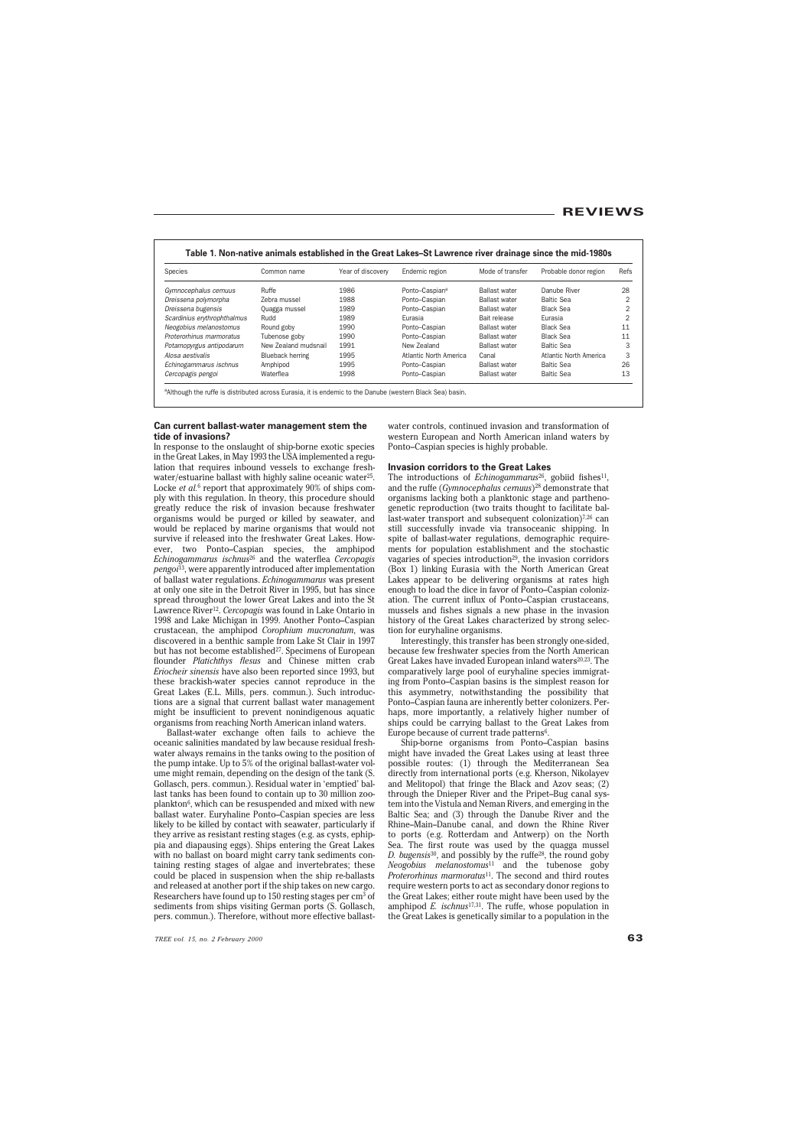| <b>Species</b>              | Common name          | Year of discovery | Endemic region             | Mode of transfer     | Probable donor region  | Refs |
|-----------------------------|----------------------|-------------------|----------------------------|----------------------|------------------------|------|
| Gymnocephalus cernuus       | Ruffe                | 1986              | Ponto-Caspian <sup>a</sup> | <b>Ballast water</b> | Danube River           | 28   |
| Dreissena polymorpha        | Zebra mussel         | 1988              | Ponto-Caspian              | <b>Ballast water</b> | <b>Baltic Sea</b>      |      |
| Dreissena bugensis          | Quagga mussel        | 1989              | Ponto-Caspian              | <b>Ballast water</b> | Black Sea              |      |
| Scardinius erythrophthalmus | Rudd                 | 1989              | Eurasia                    | Bait release         | Eurasia                |      |
| Neogobius melanostomus      | Round goby           | 1990              | Ponto-Caspian              | <b>Ballast water</b> | <b>Black Sea</b>       |      |
| Proterorhinus marmoratus    | Tubenose goby        | 1990              | Ponto-Caspian              | <b>Ballast water</b> | Black Sea              |      |
| Potamopyrgus antipodarum    | New Zealand mudsnail | 1991              | New Zealand                | <b>Ballast water</b> | <b>Baltic Sea</b>      |      |
| Alosa aestivalis            | Blueback herring     | 1995              | Atlantic North America     | Canal                | Atlantic North America | 3    |
| Echinogammarus ischnus      | Amphipod             | 1995              | Ponto-Caspian              | <b>Ballast water</b> | <b>Baltic Sea</b>      | 26   |
| Cercopagis pengoi           | Waterflea            | 1998              | Ponto-Caspian              | <b>Ballast water</b> | <b>Baltic Sea</b>      | 13   |

# **Table 1. Non-native animals established in the Great Lakes–St Lawrence river drainage since the mid-1980s**

a Although the ruffe is distributed across Eurasia, it is endemic to the Danube (western Black Sea) basin.

# **Can current ballast-water management stem the tide of invasions?**

In response to the onslaught of ship-borne exotic species in the Great Lakes, in May 1993 the USA implemented a regulation that requires inbound vessels to exchange freshwater/estuarine ballast with highly saline oceanic water<sup>25</sup>. Locke *et al.*<sup>6</sup> report that approximately 90% of ships comply with this regulation. In theory, this procedure should greatly reduce the risk of invasion because freshwater organisms would be purged or killed by seawater, and would be replaced by marine organisms that would not survive if released into the freshwater Great Lakes. However, two Ponto–Caspian species, the amphipod *Echinogammarus ischnus*<sup>26</sup> and the waterflea *Cercopagis pengoi*13, were apparently introduced after implementation of ballast water regulations. *Echinogammarus* was present at only one site in the Detroit River in 1995, but has since spread throughout the lower Great Lakes and into the St Lawrence River12. *Cercopagis* was found in Lake Ontario in 1998 and Lake Michigan in 1999. Another Ponto–Caspian crustacean, the amphipod *Corophium mucronatum*, was discovered in a benthic sample from Lake St Clair in 1997 but has not become established<sup>27</sup>. Specimens of European flounder *Platichthys flesus* and Chinese mitten crab *Eriocheir sinensis* have also been reported since 1993, but these brackish-water species cannot reproduce in the Great Lakes (E.L. Mills, pers. commun.). Such introductions are a signal that current ballast water management might be insufficient to prevent nonindigenous aquatic organisms from reaching North American inland waters.

Ballast-water exchange often fails to achieve the oceanic salinities mandated by law because residual freshwater always remains in the tanks owing to the position of the pump intake. Up to 5% of the original ballast-water volume might remain, depending on the design of the tank (S. Gollasch, pers. commun.). Residual water in 'emptied' ballast tanks has been found to contain up to 30 million zooplankton6, which can be resuspended and mixed with new ballast water. Euryhaline Ponto–Caspian species are less likely to be killed by contact with seawater, particularly if they arrive as resistant resting stages (e.g. as cysts, ephippia and diapausing eggs). Ships entering the Great Lakes with no ballast on board might carry tank sediments containing resting stages of algae and invertebrates; these could be placed in suspension when the ship re-ballasts and released at another port if the ship takes on new cargo. Researchers have found up to 150 resting stages per cm<sup>3</sup> of sediments from ships visiting German ports (S. Gollasch, pers. commun.). Therefore, without more effective ballastwater controls, continued invasion and transformation of western European and North American inland waters by Ponto–Caspian species is highly probable.

## **Invasion corridors to the Great Lakes**

The introductions of *Echinogammarus*<sup>26</sup>, gobiid fishes<sup>11</sup>, and the ruffe (*Gymnocephalus cernuus*)28 demonstrate that organisms lacking both a planktonic stage and parthenogenetic reproduction (two traits thought to facilitate ballast-water transport and subsequent colonization)<sup>7,26</sup> can still successfully invade via transoceanic shipping. In spite of ballast-water regulations, demographic requirements for population establishment and the stochastic vagaries of species introduction<sup>29</sup>, the invasion corridors (Box 1) linking Eurasia with the North American Great Lakes appear to be delivering organisms at rates high enough to load the dice in favor of Ponto–Caspian colonization. The current influx of Ponto–Caspian crustaceans, mussels and fishes signals a new phase in the invasion history of the Great Lakes characterized by strong selection for euryhaline organisms.

Interestingly, this transfer has been strongly one-sided, because few freshwater species from the North American Great Lakes have invaded European inland waters<sup>20,23</sup>. The comparatively large pool of euryhaline species immigrating from Ponto–Caspian basins is the simplest reason for this asymmetry, notwithstanding the possibility that Ponto–Caspian fauna are inherently better colonizers. Perhaps, more importantly, a relatively higher number of ships could be carrying ballast to the Great Lakes from Europe because of current trade patterns<sup>6</sup>.

Ship-borne organisms from Ponto–Caspian basins might have invaded the Great Lakes using at least three possible routes: (1) through the Mediterranean Sea directly from international ports (e.g. Kherson, Nikolayev and Melitopol) that fringe the Black and Azov seas; (2) through the Dnieper River and the Pripet–Bug canal system into the Vistula and Neman Rivers, and emerging in the Baltic Sea; and (3) through the Danube River and the Rhine–Main–Danube canal, and down the Rhine River to ports (e.g. Rotterdam and Antwerp) on the North Sea. The first route was used by the quagga mussel *D. bugensis*30, and possibly by the ruffe28, the round goby *Neogobius melanostomus*<sup>11</sup> and the tubenose goby *Proterorhinus marmoratus*11. The second and third routes require western ports to act as secondary donor regions to the Great Lakes; either route might have been used by the amphipod *E. ischnus*17,31. The ruffe, whose population in the Great Lakes is genetically similar to a population in the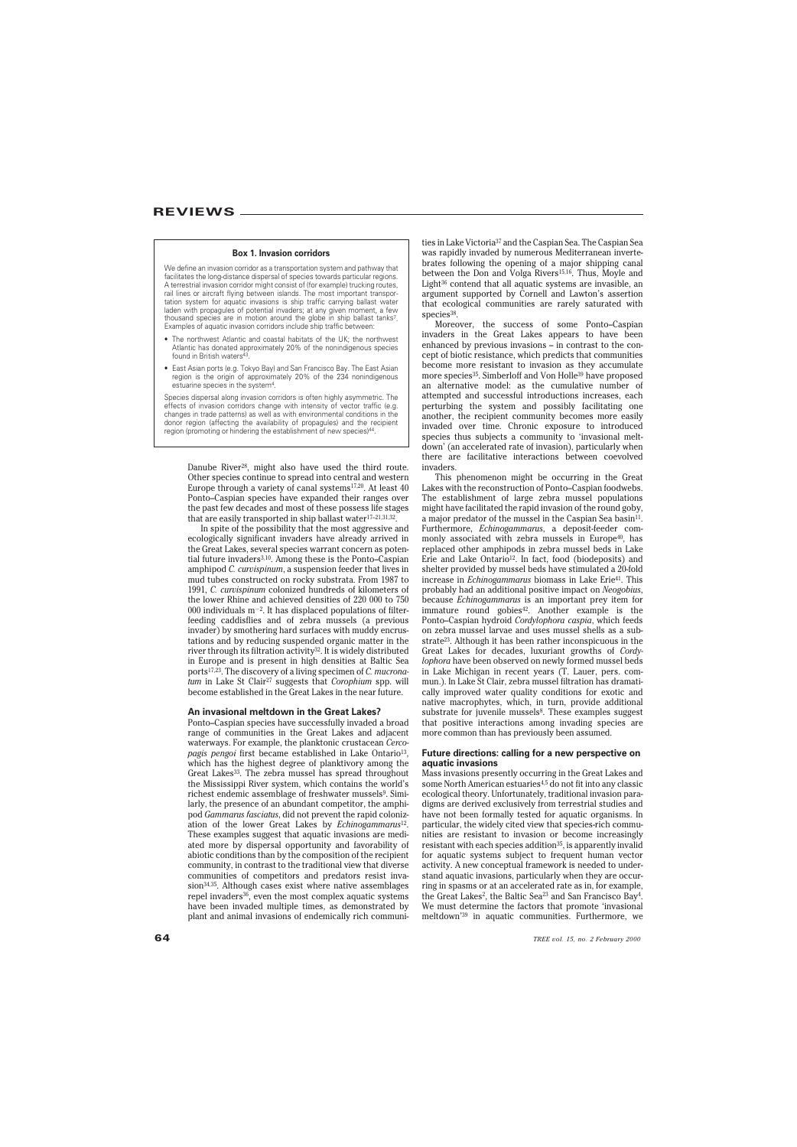#### **Box 1. Invasion corridors**

We define an invasion corridor as a transportation system and pathway that facilitates the long-distance dispersal of species towards particular regions. A terrestrial invasion corridor might consist of (for example) trucking routes, rail lines or aircraft flying between islands. The most important transportation system for aquatic invasions is ship traffic carrying ballast water laden with propagules of potential invaders; at any given moment, a few thousand species are in motion around the globe in ship ballast tanks7. Examples of aquatic invasion corridors include ship traffic between:

- The northwest Atlantic and coastal habitats of the UK; the northwest Atlantic has donated approximately 20% of the nonindigenous species found in British waters43.
- East Asian ports (e.g. Tokyo Bay) and San Francisco Bay. The East Asian region is the origin of approximately 20% of the 234 nonindigenous estuarine species in the system4.

Species dispersal along invasion corridors is often highly asymmetric. The effects of invasion corridors change with intensity of vector traffic (e.g. changes in trade patterns) as well as with environmental conditions in the donor region (affecting the availability of propagules) and the recipient region (promoting or hindering the establishment of new species)44.

Danube River28, might also have used the third route. Other species continue to spread into central and western Europe through a variety of canal systems<sup>17,20</sup>. At least 40 Ponto–Caspian species have expanded their ranges over the past few decades and most of these possess life stages that are easily transported in ship ballast water17–21,31,32.

In spite of the possibility that the most aggressive and ecologically significant invaders have already arrived in the Great Lakes, several species warrant concern as potential future invaders3,10. Among these is the Ponto–Caspian amphipod *C. curvispinum*, a suspension feeder that lives in mud tubes constructed on rocky substrata. From 1987 to 1991, *C. curvispinum* colonized hundreds of kilometers of the lower Rhine and achieved densities of 220 000 to 750 000 individuals  $m^{-2}$ . It has displaced populations of filterfeeding caddisflies and of zebra mussels (a previous invader) by smothering hard surfaces with muddy encrustations and by reducing suspended organic matter in the river through its filtration activity32. It is widely distributed in Europe and is present in high densities at Baltic Sea ports17,23. The discovery of a living specimen of *C. mucronatum* in Lake St Clair27 suggests that *Corophium* spp. will become established in the Great Lakes in the near future.

#### **An invasional meltdown in the Great Lakes?**

Ponto–Caspian species have successfully invaded a broad range of communities in the Great Lakes and adjacent waterways. For example, the planktonic crustacean *Cercopagis pengoi* first became established in Lake Ontario<sup>13</sup>, which has the highest degree of planktivory among the Great Lakes<sup>33</sup>. The zebra mussel has spread throughout the Mississippi River system, which contains the world's richest endemic assemblage of freshwater mussels<sup>9</sup>. Similarly, the presence of an abundant competitor, the amphipod *Gammarus fasciatus*, did not prevent the rapid colonization of the lower Great Lakes by *Echinogammarus*12. These examples suggest that aquatic invasions are mediated more by dispersal opportunity and favorability of abiotic conditions than by the composition of the recipient community, in contrast to the traditional view that diverse communities of competitors and predators resist invasion<sup>34,35</sup>. Although cases exist where native assemblages repel invaders<sup>36</sup>, even the most complex aquatic systems have been invaded multiple times, as demonstrated by plant and animal invasions of endemically rich communities in Lake Victoria37 and the Caspian Sea. The Caspian Sea was rapidly invaded by numerous Mediterranean invertebrates following the opening of a major shipping canal between the Don and Volga Rivers<sup>15,16</sup>. Thus, Moyle and Light36 contend that all aquatic systems are invasible, an argument supported by Cornell and Lawton's assertion that ecological communities are rarely saturated with species<sup>38</sup>.

Moreover, the success of some Ponto–Caspian invaders in the Great Lakes appears to have been enhanced by previous invasions – in contrast to the concept of biotic resistance, which predicts that communities become more resistant to invasion as they accumulate more species35. Simberloff and Von Holle39 have proposed an alternative model: as the cumulative number of attempted and successful introductions increases, each perturbing the system and possibly facilitating one another, the recipient community becomes more easily invaded over time. Chronic exposure to introduced species thus subjects a community to 'invasional meltdown' (an accelerated rate of invasion), particularly when there are facilitative interactions between coevolved invaders.

This phenomenon might be occurring in the Great Lakes with the reconstruction of Ponto–Caspian foodwebs. The establishment of large zebra mussel populations might have facilitated the rapid invasion of the round goby, a major predator of the mussel in the Caspian Sea basin<sup>11</sup>. Furthermore, *Echinogammarus*, a deposit-feeder commonly associated with zebra mussels in Europe<sup>40</sup>, has replaced other amphipods in zebra mussel beds in Lake Erie and Lake Ontario<sup>12</sup>. In fact, food (biodeposits) and shelter provided by mussel beds have stimulated a 20-fold increase in *Echinogammarus* biomass in Lake Erie41. This probably had an additional positive impact on *Neogobius*, because *Echinogammarus* is an important prey item for immature round gobies<sup>42</sup>. Another example is the Ponto–Caspian hydroid *Cordylophora caspia*, which feeds on zebra mussel larvae and uses mussel shells as a substrate23. Although it has been rather inconspicuous in the Great Lakes for decades, luxuriant growths of *Cordylophora* have been observed on newly formed mussel beds in Lake Michigan in recent years (T. Lauer, pers. commun.). In Lake St Clair, zebra mussel filtration has dramatically improved water quality conditions for exotic and native macrophytes, which, in turn, provide additional substrate for juvenile mussels<sup>8</sup>. These examples suggest that positive interactions among invading species are more common than has previously been assumed.

#### **Future directions: calling for a new perspective on aquatic invasions**

Mass invasions presently occurring in the Great Lakes and some North American estuaries<sup>4,5</sup> do not fit into any classic ecological theory. Unfortunately, traditional invasion paradigms are derived exclusively from terrestrial studies and have not been formally tested for aquatic organisms. In particular, the widely cited view that species-rich communities are resistant to invasion or become increasingly resistant with each species addition<sup>35</sup>, is apparently invalid for aquatic systems subject to frequent human vector activity. A new conceptual framework is needed to understand aquatic invasions, particularly when they are occurring in spasms or at an accelerated rate as in, for example, the Great Lakes<sup>2</sup>, the Baltic Sea<sup>23</sup> and San Francisco Bay<sup>4</sup>. We must determine the factors that promote 'invasional meltdown'39 in aquatic communities. Furthermore, we